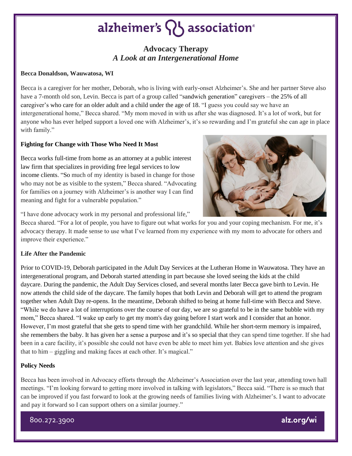# alzheimer's  $\{ \}$  association<sup>®</sup>

## **Advocacy Therapy** *A Look at an Intergenerational Home*

#### **Becca Donaldson, Wauwatosa, WI**

Becca is a caregiver for her mother, Deborah, who is living with early-onset Alzheimer's. She and her partner Steve also have a 7-month old son, Levin. Becca is part of a group called "sandwich generation" caregivers – the 25% of all caregiver's who care for an older adult and a child under the age of 18. "I guess you could say we have an intergenerational home," Becca shared. "My mom moved in with us after she was diagnosed. It's a lot of work, but for anyone who has ever helped support a loved one with Alzheimer's, it's so rewarding and I'm grateful she can age in place with family."

### **Fighting for Change with Those Who Need It Most**

Becca works full-time from home as an attorney at a public interest law firm that specializes in providing free legal services to low income clients. "So much of my identity is based in change for those who may not be as visible to the system," Becca shared. "Advocating for families on a journey with Alzheimer's is another way I can find meaning and fight for a vulnerable population."



"I have done advocacy work in my personal and professional life,"

Becca shared. "For a lot of people, you have to figure out what works for you and your coping mechanism. For me, it's advocacy therapy. It made sense to use what I've learned from my experience with my mom to advocate for others and improve their experience."

### **Life After the Pandemic**

Prior to COVID-19, Deborah participated in the Adult Day Services at the Lutheran Home in Wauwatosa. They have an intergenerational program, and Deborah started attending in part because she loved seeing the kids at the child daycare. During the pandemic, the Adult Day Services closed, and several months later Becca gave birth to Levin. He now attends the child side of the daycare. The family hopes that both Levin and Deborah will get to attend the program together when Adult Day re-opens. In the meantime, Deborah shifted to being at home full-time with Becca and Steve. "While we do have a lot of interruptions over the course of our day, we are so grateful to be in the same bubble with my mom," Becca shared. "I wake up early to get my mom's day going before I start work and I consider that an honor. However, I'm most grateful that she gets to spend time with her grandchild. While her short-term memory is impaired, she remembers the baby. It has given her a sense a purpose and it's so special that they can spend time together. If she had been in a care facility, it's possible she could not have even be able to meet him yet. Babies love attention and she gives that to him – giggling and making faces at each other. It's magical."

### **Policy Needs**

Becca has been involved in Advocacy efforts through the Alzheimer's Association over the last year, attending town hall meetings. "I'm looking forward to getting more involved in talking with legislators," Becca said. "There is so much that can be improved if you fast forward to look at the growing needs of families living with Alzheimer's. I want to advocate and pay it forward so I can support others on a similar journey."

800.272.3900